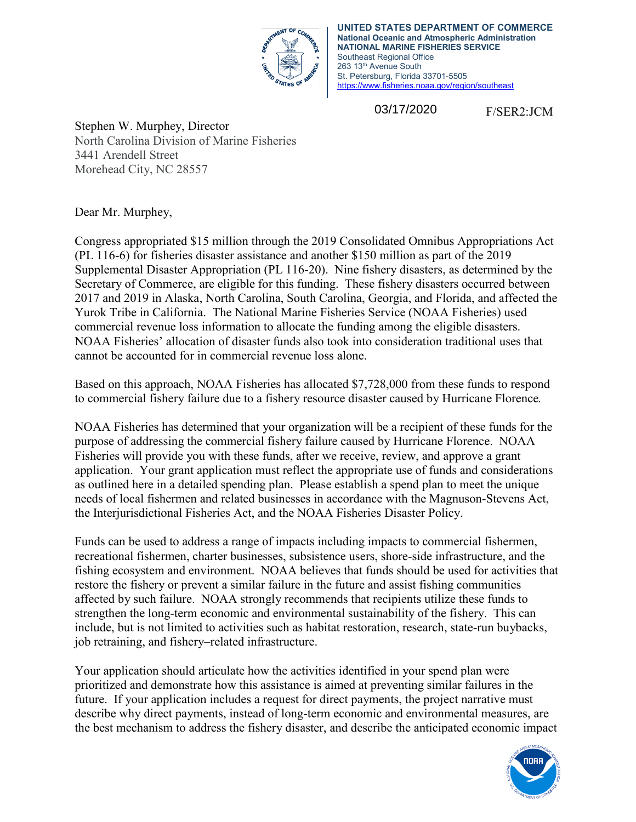

**UNITED STATES DEPARTMENT OF COMMERCE National Oceanic and Atmospheric Administration NATIONAL MARINE FISHERIES SERVICE** Southeast Regional Office 263 13th Avenue South St. Petersburg, Florida 33701-5505 <https://www.fisheries.noaa.gov/region/southeast>

03/17/2020

F/SER2:JCM

Stephen W. Murphey, Director North Carolina Division of Marine Fisheries 3441 Arendell Street Morehead City, NC 28557

Dear Mr. Murphey,

Congress appropriated \$15 million through the 2019 Consolidated Omnibus Appropriations Act (PL 116-6) for fisheries disaster assistance and another \$150 million as part of the 2019 Supplemental Disaster Appropriation (PL 116-20). Nine fishery disasters, as determined by the Secretary of Commerce, are eligible for this funding. These fishery disasters occurred between 2017 and 2019 in Alaska, North Carolina, South Carolina, Georgia, and Florida, and affected the Yurok Tribe in California. The National Marine Fisheries Service (NOAA Fisheries) used commercial revenue loss information to allocate the funding among the eligible disasters. NOAA Fisheries' allocation of disaster funds also took into consideration traditional uses that cannot be accounted for in commercial revenue loss alone.

Based on this approach, NOAA Fisheries has allocated \$7,728,000 from these funds to respond to commercial fishery failure due to a fishery resource disaster caused by Hurricane Florence*.* 

NOAA Fisheries has determined that your organization will be a recipient of these funds for the purpose of addressing the commercial fishery failure caused by Hurricane Florence. NOAA Fisheries will provide you with these funds, after we receive, review, and approve a grant application. Your grant application must reflect the appropriate use of funds and considerations as outlined here in a detailed spending plan. Please establish a spend plan to meet the unique needs of local fishermen and related businesses in accordance with the Magnuson-Stevens Act, the Interjurisdictional Fisheries Act, and the NOAA Fisheries Disaster Policy.

Funds can be used to address a range of impacts including impacts to commercial fishermen, recreational fishermen, charter businesses, subsistence users, shore-side infrastructure, and the fishing ecosystem and environment. NOAA believes that funds should be used for activities that restore the fishery or prevent a similar failure in the future and assist fishing communities affected by such failure. NOAA strongly recommends that recipients utilize these funds to strengthen the long-term economic and environmental sustainability of the fishery. This can include, but is not limited to activities such as habitat restoration, research, state-run buybacks, job retraining, and fishery–related infrastructure.

Your application should articulate how the activities identified in your spend plan were prioritized and demonstrate how this assistance is aimed at preventing similar failures in the future. If your application includes a request for direct payments, the project narrative must describe why direct payments, instead of long-term economic and environmental measures, are the best mechanism to address the fishery disaster, and describe the anticipated economic impact